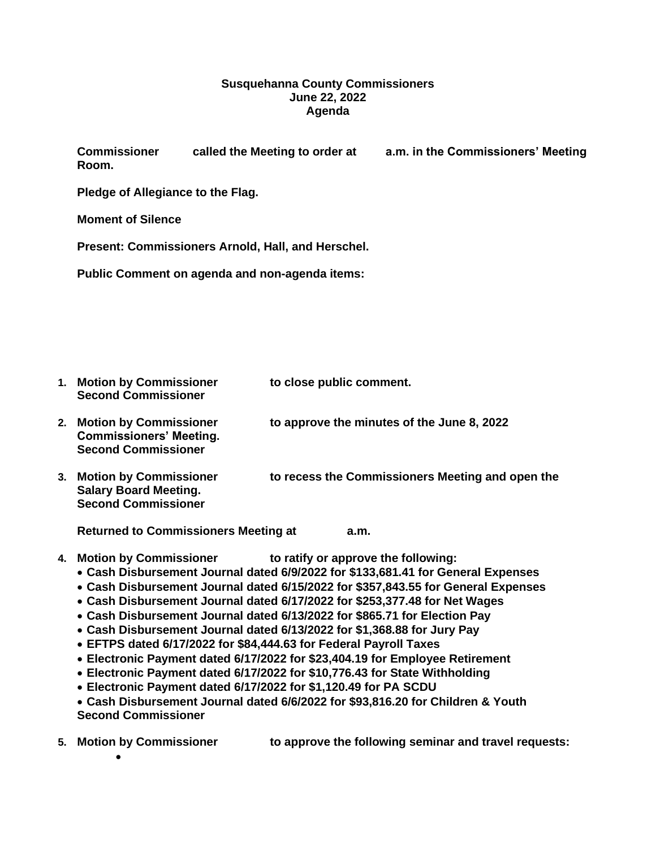## **Susquehanna County Commissioners June 22, 2022 Agenda**

**Commissioner called the Meeting to order at a.m. in the Commissioners' Meeting Room.**

**Pledge of Allegiance to the Flag.**

**Moment of Silence**

**Present: Commissioners Arnold, Hall, and Herschel.** 

**Public Comment on agenda and non-agenda items:**

| 1. | <b>Motion by Commissioner</b><br><b>Second Commissioner</b>                                   | to close public comment.                         |
|----|-----------------------------------------------------------------------------------------------|--------------------------------------------------|
|    | <b>Motion by Commissioner</b><br><b>Commissioners' Meeting.</b><br><b>Second Commissioner</b> | to approve the minutes of the June 8, 2022       |
| 3. | <b>Motion by Commissioner</b><br><b>Salary Board Meeting.</b><br><b>Second Commissioner</b>   | to recess the Commissioners Meeting and open the |

**Returned to Commissioners Meeting at a.m.**

- **4. Motion by Commissioner to ratify or approve the following:** 
	- **Cash Disbursement Journal dated 6/9/2022 for \$133,681.41 for General Expenses**
	- **Cash Disbursement Journal dated 6/15/2022 for \$357,843.55 for General Expenses**
	- **Cash Disbursement Journal dated 6/17/2022 for \$253,377.48 for Net Wages**
	- **Cash Disbursement Journal dated 6/13/2022 for \$865.71 for Election Pay**
	- **Cash Disbursement Journal dated 6/13/2022 for \$1,368.88 for Jury Pay**
	- **EFTPS dated 6/17/2022 for \$84,444.63 for Federal Payroll Taxes**
	- **Electronic Payment dated 6/17/2022 for \$23,404.19 for Employee Retirement**
	- **Electronic Payment dated 6/17/2022 for \$10,776.43 for State Withholding**
	- **Electronic Payment dated 6/17/2022 for \$1,120.49 for PA SCDU**

• **Cash Disbursement Journal dated 6/6/2022 for \$93,816.20 for Children & Youth Second Commissioner**

**5. Motion by Commissioner to approve the following seminar and travel requests:** •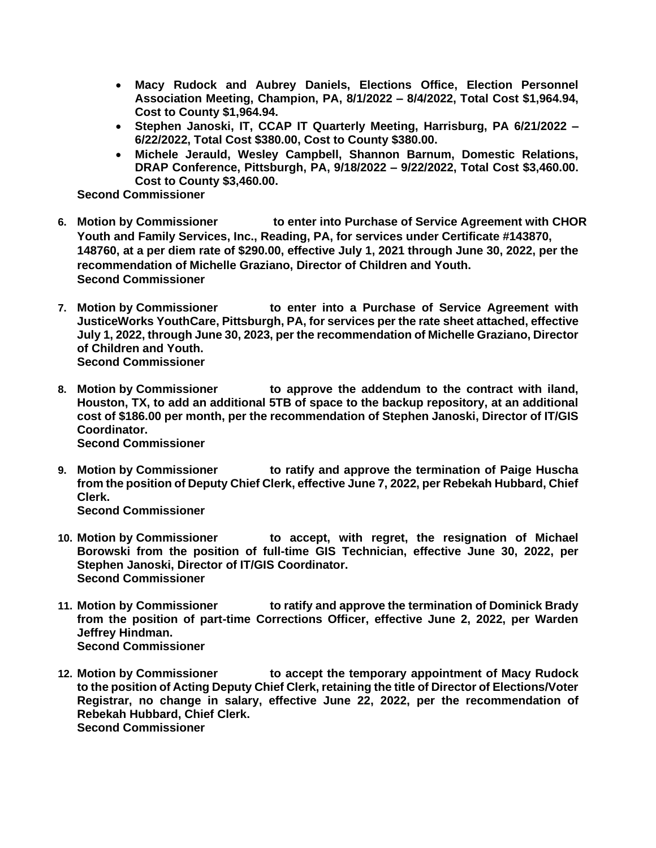- **Macy Rudock and Aubrey Daniels, Elections Office, Election Personnel Association Meeting, Champion, PA, 8/1/2022 – 8/4/2022, Total Cost \$1,964.94, Cost to County \$1,964.94.**
- **Stephen Janoski, IT, CCAP IT Quarterly Meeting, Harrisburg, PA 6/21/2022 – 6/22/2022, Total Cost \$380.00, Cost to County \$380.00.**
- **Michele Jerauld, Wesley Campbell, Shannon Barnum, Domestic Relations, DRAP Conference, Pittsburgh, PA, 9/18/2022 – 9/22/2022, Total Cost \$3,460.00. Cost to County \$3,460.00.**

**Second Commissioner**

- **6. Motion by Commissioner to enter into Purchase of Service Agreement with CHOR Youth and Family Services, Inc., Reading, PA, for services under Certificate #143870, 148760, at a per diem rate of \$290.00, effective July 1, 2021 through June 30, 2022, per the recommendation of Michelle Graziano, Director of Children and Youth. Second Commissioner**
- **7. Motion by Commissioner to enter into a Purchase of Service Agreement with JusticeWorks YouthCare, Pittsburgh, PA, for services per the rate sheet attached, effective July 1, 2022, through June 30, 2023, per the recommendation of Michelle Graziano, Director of Children and Youth. Second Commissioner**
- **8. Motion by Commissioner to approve the addendum to the contract with iland, Houston, TX, to add an additional 5TB of space to the backup repository, at an additional cost of \$186.00 per month, per the recommendation of Stephen Janoski, Director of IT/GIS Coordinator. Second Commissioner**
- **9. Motion by Commissioner to ratify and approve the termination of Paige Huscha from the position of Deputy Chief Clerk, effective June 7, 2022, per Rebekah Hubbard, Chief Clerk. Second Commissioner**
- **10. Motion by Commissioner to accept, with regret, the resignation of Michael Borowski from the position of full-time GIS Technician, effective June 30, 2022, per Stephen Janoski, Director of IT/GIS Coordinator. Second Commissioner**
- **11. Motion by Commissioner to ratify and approve the termination of Dominick Brady from the position of part-time Corrections Officer, effective June 2, 2022, per Warden Jeffrey Hindman. Second Commissioner**
- **12. Motion by Commissioner to accept the temporary appointment of Macy Rudock to the position of Acting Deputy Chief Clerk, retaining the title of Director of Elections/Voter Registrar, no change in salary, effective June 22, 2022, per the recommendation of Rebekah Hubbard, Chief Clerk. Second Commissioner**